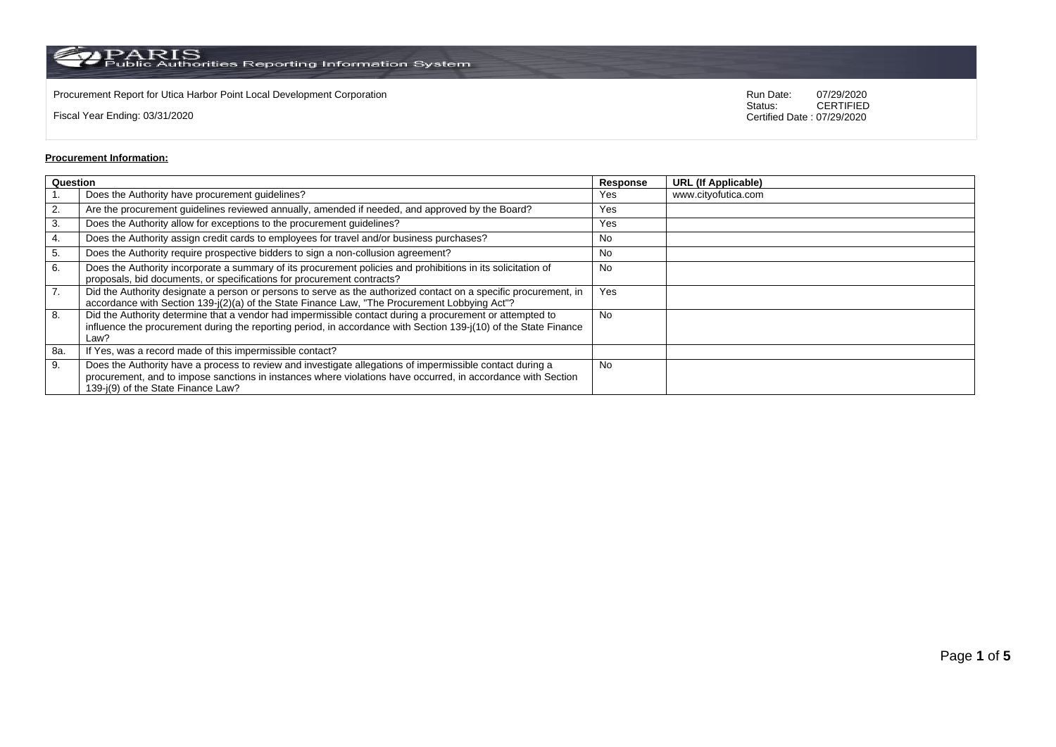$\rm PARS$  Public Authorities Reporting Information System

Procurement Report for Utica Harbor Point Local Development Corporation **Run Date:** 07/29/2020<br>Status: CERTIFIED

Fiscal Year Ending: 03/31/2020

CERTIFIED Certified Date : 07/29/2020

## **Procurement Information:**

|     | Question                                                                                                                                                                                                                                                        |           | <b>URL (If Applicable)</b> |
|-----|-----------------------------------------------------------------------------------------------------------------------------------------------------------------------------------------------------------------------------------------------------------------|-----------|----------------------------|
|     | Does the Authority have procurement guidelines?                                                                                                                                                                                                                 | Yes       | www.cityofutica.com        |
| 2.  | Are the procurement guidelines reviewed annually, amended if needed, and approved by the Board?                                                                                                                                                                 | Yes       |                            |
| 3.  | Does the Authority allow for exceptions to the procurement guidelines?                                                                                                                                                                                          | Yes       |                            |
| 4.  | Does the Authority assign credit cards to employees for travel and/or business purchases?                                                                                                                                                                       | No        |                            |
| 5.  | Does the Authority require prospective bidders to sign a non-collusion agreement?                                                                                                                                                                               | No        |                            |
| 6.  | Does the Authority incorporate a summary of its procurement policies and prohibitions in its solicitation of<br>proposals, bid documents, or specifications for procurement contracts?                                                                          | <b>No</b> |                            |
| 7.  | Did the Authority designate a person or persons to serve as the authorized contact on a specific procurement, in<br>accordance with Section 139-j(2)(a) of the State Finance Law, "The Procurement Lobbying Act"?                                               | Yes       |                            |
| 8.  | Did the Authority determine that a vendor had impermissible contact during a procurement or attempted to<br>influence the procurement during the reporting period, in accordance with Section 139-j(10) of the State Finance<br>Law?                            | <b>No</b> |                            |
| 8a. | If Yes, was a record made of this impermissible contact?                                                                                                                                                                                                        |           |                            |
| 9.  | Does the Authority have a process to review and investigate allegations of impermissible contact during a<br>procurement, and to impose sanctions in instances where violations have occurred, in accordance with Section<br>139-j(9) of the State Finance Law? | <b>No</b> |                            |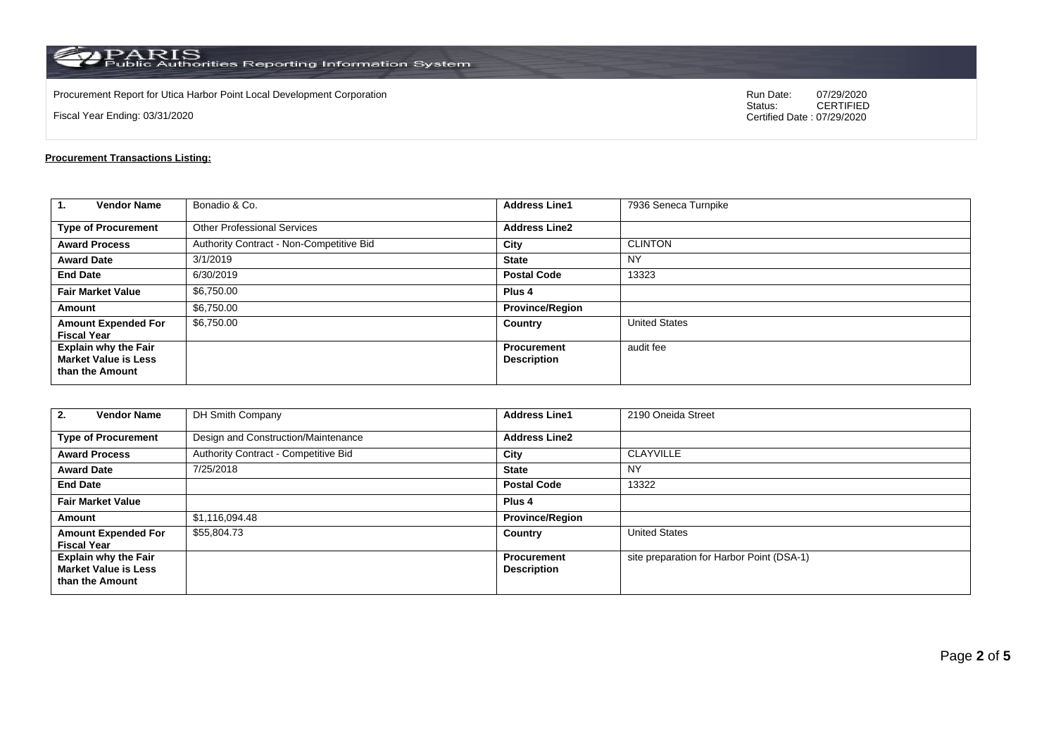$\rm PARS$  PARIS<br>Public Authorities Reporting Information System

Procurement Report for Utica Harbor Point Local Development Corporation **Run Date:** 07/29/2020<br>Status: CERTIFIED

Fiscal Year Ending: 03/31/2020

CERTIFIED Certified Date : 07/29/2020

## **Procurement Transactions Listing:**

| $\mathbf{1}$<br><b>Vendor Name</b>                                            | Bonadio & Co.                            | <b>Address Line1</b>              | 7936 Seneca Turnpike |
|-------------------------------------------------------------------------------|------------------------------------------|-----------------------------------|----------------------|
| <b>Type of Procurement</b>                                                    | <b>Other Professional Services</b>       | <b>Address Line2</b>              |                      |
| <b>Award Process</b>                                                          | Authority Contract - Non-Competitive Bid | City                              | <b>CLINTON</b>       |
| <b>Award Date</b>                                                             | 3/1/2019                                 | <b>State</b>                      | <b>NY</b>            |
| <b>End Date</b>                                                               | 6/30/2019                                | <b>Postal Code</b>                | 13323                |
| <b>Fair Market Value</b>                                                      | \$6,750.00                               | Plus <sub>4</sub>                 |                      |
| Amount                                                                        | \$6,750.00                               | <b>Province/Region</b>            |                      |
| <b>Amount Expended For</b><br><b>Fiscal Year</b>                              | \$6,750.00                               | Country                           | <b>United States</b> |
| <b>Explain why the Fair</b><br><b>Market Value is Less</b><br>than the Amount |                                          | Procurement<br><b>Description</b> | audit fee            |

| <b>Vendor Name</b><br>2.                                                      | DH Smith Company                     | <b>Address Line1</b>                     | 2190 Oneida Street                        |
|-------------------------------------------------------------------------------|--------------------------------------|------------------------------------------|-------------------------------------------|
| <b>Type of Procurement</b>                                                    | Design and Construction/Maintenance  | <b>Address Line2</b>                     |                                           |
| <b>Award Process</b>                                                          | Authority Contract - Competitive Bid | City                                     | <b>CLAYVILLE</b>                          |
| <b>Award Date</b>                                                             | 7/25/2018                            | <b>State</b>                             | <b>NY</b>                                 |
| <b>End Date</b>                                                               |                                      | <b>Postal Code</b>                       | 13322                                     |
| <b>Fair Market Value</b>                                                      |                                      | Plus <sub>4</sub>                        |                                           |
| Amount                                                                        | \$1,116,094.48                       | <b>Province/Region</b>                   |                                           |
| <b>Amount Expended For</b><br><b>Fiscal Year</b>                              | \$55,804.73                          | Country                                  | <b>United States</b>                      |
| <b>Explain why the Fair</b><br><b>Market Value is Less</b><br>than the Amount |                                      | <b>Procurement</b><br><b>Description</b> | site preparation for Harbor Point (DSA-1) |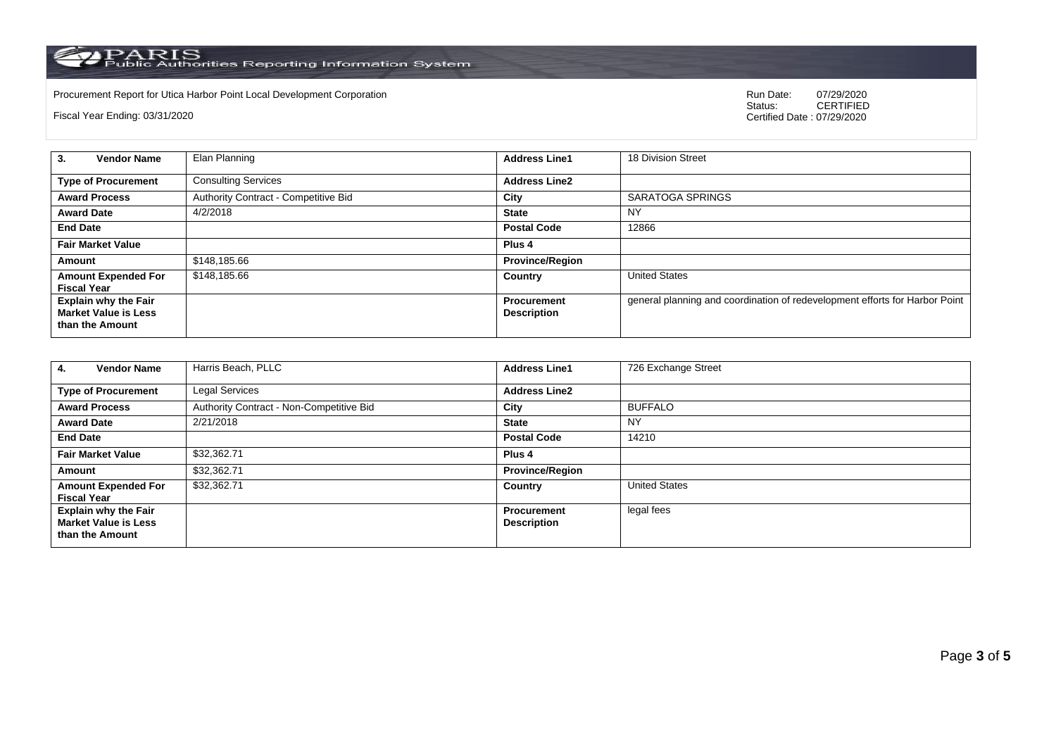PARIS<br>Public Authorities Reporting Information System

Procurement Report for Utica Harbor Point Local Development Corporation Run Date: 07/2020 Run Date: 07/2020 Run Date: 07/2020 Run Date: 07/2020 Run Date: 07/2020 Run Date: 07/2020 Run Date: 07/2020 Run Date: 07/2020 Run Da

Fiscal Year Ending: 03/31/2020

07/29/2020<br>CERTIFIED Certified Date : 07/29/2020

| <b>Vendor Name</b><br>3.                                                      | Elan Planning                        | <b>Address Line1</b>                     | 18 Division Street                                                          |
|-------------------------------------------------------------------------------|--------------------------------------|------------------------------------------|-----------------------------------------------------------------------------|
| <b>Type of Procurement</b>                                                    | <b>Consulting Services</b>           | <b>Address Line2</b>                     |                                                                             |
| <b>Award Process</b>                                                          | Authority Contract - Competitive Bid | City                                     | SARATOGA SPRINGS                                                            |
| <b>Award Date</b>                                                             | 4/2/2018                             | <b>State</b>                             | NY                                                                          |
| <b>End Date</b>                                                               |                                      | <b>Postal Code</b>                       | 12866                                                                       |
| <b>Fair Market Value</b>                                                      |                                      | Plus 4                                   |                                                                             |
| Amount                                                                        | \$148,185.66                         | <b>Province/Region</b>                   |                                                                             |
| <b>Amount Expended For</b><br><b>Fiscal Year</b>                              | \$148,185.66                         | Country                                  | <b>United States</b>                                                        |
| <b>Explain why the Fair</b><br><b>Market Value is Less</b><br>than the Amount |                                      | <b>Procurement</b><br><b>Description</b> | general planning and coordination of redevelopment efforts for Harbor Point |

| <b>Vendor Name</b><br>-4.                                                     | Harris Beach, PLLC                       | <b>Address Line1</b>                     | 726 Exchange Street  |
|-------------------------------------------------------------------------------|------------------------------------------|------------------------------------------|----------------------|
| <b>Type of Procurement</b>                                                    | Legal Services                           | <b>Address Line2</b>                     |                      |
| <b>Award Process</b>                                                          | Authority Contract - Non-Competitive Bid | City                                     | <b>BUFFALO</b>       |
| <b>Award Date</b>                                                             | 2/21/2018                                | <b>State</b>                             | <b>NY</b>            |
| <b>End Date</b>                                                               |                                          | <b>Postal Code</b>                       | 14210                |
| <b>Fair Market Value</b>                                                      | \$32,362.71                              | Plus <sub>4</sub>                        |                      |
| Amount                                                                        | \$32,362.71                              | <b>Province/Region</b>                   |                      |
| <b>Amount Expended For</b><br><b>Fiscal Year</b>                              | \$32,362.71                              | Country                                  | <b>United States</b> |
| <b>Explain why the Fair</b><br><b>Market Value is Less</b><br>than the Amount |                                          | <b>Procurement</b><br><b>Description</b> | legal fees           |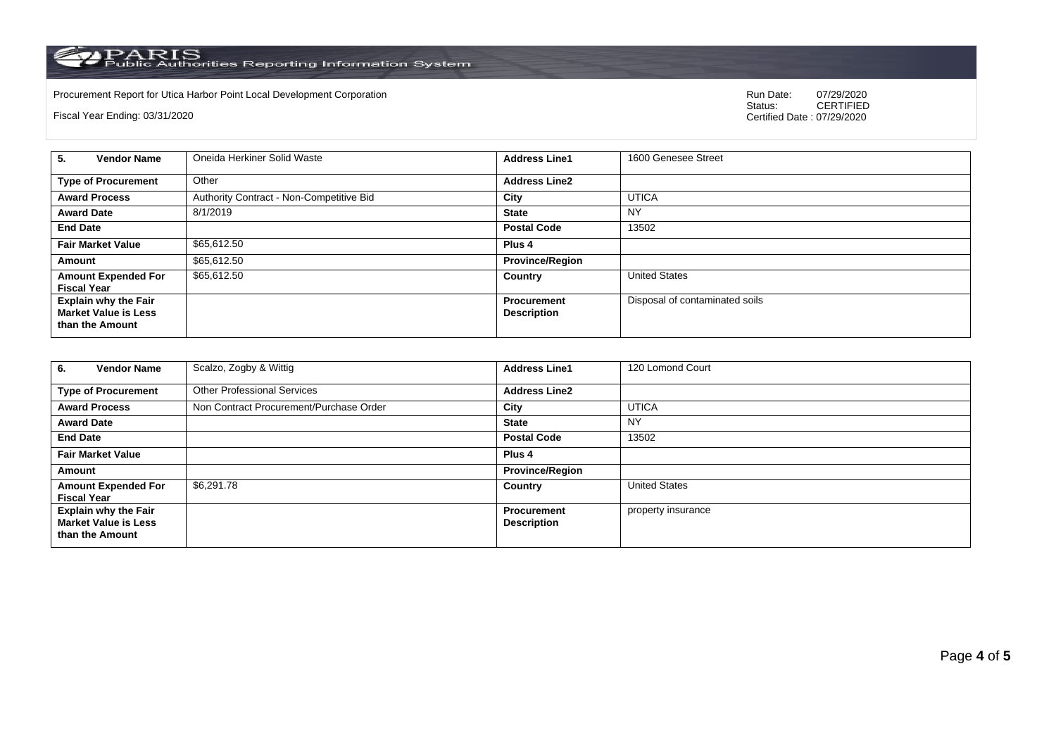PARIS<br>Public Authorities Reporting Information System

Procurement Report for Utica Harbor Point Local Development Corporation **Run Date:** 07/29/2020<br>Status: CERTIFIED

Fiscal Year Ending: 03/31/2020

CERTIFIED Certified Date : 07/29/2020

| <b>Vendor Name</b><br>5.                                                      | Oneida Herkiner Solid Waste              | <b>Address Line1</b>              | 1600 Genesee Street            |
|-------------------------------------------------------------------------------|------------------------------------------|-----------------------------------|--------------------------------|
| <b>Type of Procurement</b>                                                    | Other                                    | <b>Address Line2</b>              |                                |
| <b>Award Process</b>                                                          | Authority Contract - Non-Competitive Bid | City                              | <b>UTICA</b>                   |
| <b>Award Date</b>                                                             | 8/1/2019                                 | <b>State</b>                      | <b>NY</b>                      |
| <b>End Date</b>                                                               |                                          | <b>Postal Code</b>                | 13502                          |
| <b>Fair Market Value</b>                                                      | \$65,612.50                              | Plus <sub>4</sub>                 |                                |
| Amount                                                                        | \$65,612.50                              | <b>Province/Region</b>            |                                |
| <b>Amount Expended For</b><br><b>Fiscal Year</b>                              | \$65,612.50                              | Country                           | <b>United States</b>           |
| <b>Explain why the Fair</b><br><b>Market Value is Less</b><br>than the Amount |                                          | Procurement<br><b>Description</b> | Disposal of contaminated soils |

| <b>Vendor Name</b><br>6.                                                      | Scalzo, Zogby & Wittig                  | <b>Address Line1</b>                     | 120 Lomond Court     |
|-------------------------------------------------------------------------------|-----------------------------------------|------------------------------------------|----------------------|
| <b>Type of Procurement</b>                                                    | <b>Other Professional Services</b>      | <b>Address Line2</b>                     |                      |
| <b>Award Process</b>                                                          | Non Contract Procurement/Purchase Order | City                                     | <b>UTICA</b>         |
| <b>Award Date</b>                                                             |                                         | <b>State</b>                             | <b>NY</b>            |
| <b>End Date</b>                                                               |                                         | <b>Postal Code</b>                       | 13502                |
| <b>Fair Market Value</b>                                                      |                                         | Plus <sub>4</sub>                        |                      |
| Amount                                                                        |                                         | <b>Province/Region</b>                   |                      |
| <b>Amount Expended For</b><br><b>Fiscal Year</b>                              | \$6,291.78                              | Country                                  | <b>United States</b> |
| <b>Explain why the Fair</b><br><b>Market Value is Less</b><br>than the Amount |                                         | <b>Procurement</b><br><b>Description</b> | property insurance   |